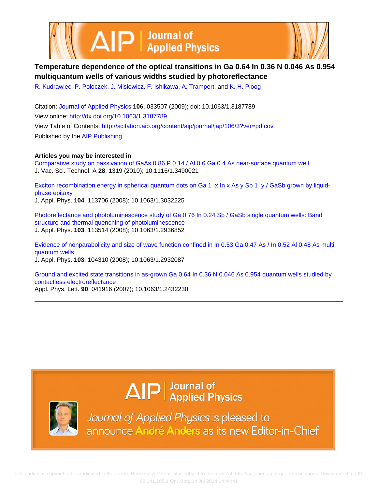

# **Temperature dependence of the optical transitions in Ga 0.64 In 0.36 N 0.046 As 0.954 multiquantum wells of various widths studied by photoreflectance**

[R. Kudrawiec](http://scitation.aip.org/search?value1=R.+Kudrawiec&option1=author), [P. Poloczek,](http://scitation.aip.org/search?value1=P.+Poloczek&option1=author) [J. Misiewicz,](http://scitation.aip.org/search?value1=J.+Misiewicz&option1=author) [F. Ishikawa,](http://scitation.aip.org/search?value1=F.+Ishikawa&option1=author) [A. Trampert](http://scitation.aip.org/search?value1=A.+Trampert&option1=author), and [K. H. Ploog](http://scitation.aip.org/search?value1=K.+H.+Ploog&option1=author)

Citation: [Journal of Applied Physics](http://scitation.aip.org/content/aip/journal/jap?ver=pdfcov) **106**, 033507 (2009); doi: 10.1063/1.3187789 View online: <http://dx.doi.org/10.1063/1.3187789> View Table of Contents: <http://scitation.aip.org/content/aip/journal/jap/106/3?ver=pdfcov> Published by the [AIP Publishing](http://scitation.aip.org/content/aip?ver=pdfcov)

**Articles you may be interested in**

[Comparative study on passivation of GaAs 0.86 P 0.14 / Al 0.6 Ga 0.4 As near-surface quantum well](http://scitation.aip.org/content/avs/journal/jvsta/28/6/10.1116/1.3490021?ver=pdfcov) J. Vac. Sci. Technol. A **28**, 1319 (2010); 10.1116/1.3490021

[Exciton recombination energy in spherical quantum dots on Ga 1 x In x As y Sb 1 y / GaSb grown by liquid](http://scitation.aip.org/content/aip/journal/jap/104/11/10.1063/1.3032225?ver=pdfcov)[phase epitaxy](http://scitation.aip.org/content/aip/journal/jap/104/11/10.1063/1.3032225?ver=pdfcov) J. Appl. Phys. **104**, 113706 (2008); 10.1063/1.3032225

[Photoreflectance and photoluminescence study of Ga 0.76 In 0.24 Sb / GaSb single quantum wells: Band](http://scitation.aip.org/content/aip/journal/jap/103/11/10.1063/1.2936852?ver=pdfcov) [structure and thermal quenching of photoluminescence](http://scitation.aip.org/content/aip/journal/jap/103/11/10.1063/1.2936852?ver=pdfcov) J. Appl. Phys. **103**, 113514 (2008); 10.1063/1.2936852

[Evidence of nonparabolicity and size of wave function confined in In 0.53 Ga 0.47 As / In 0.52 Al 0.48 As multi](http://scitation.aip.org/content/aip/journal/jap/103/10/10.1063/1.2932087?ver=pdfcov) [quantum wells](http://scitation.aip.org/content/aip/journal/jap/103/10/10.1063/1.2932087?ver=pdfcov)

J. Appl. Phys. **103**, 104310 (2008); 10.1063/1.2932087

[Ground and excited state transitions in as-grown Ga 0.64 In 0.36 N 0.046 As 0.954 quantum wells studied by](http://scitation.aip.org/content/aip/journal/apl/90/4/10.1063/1.2432230?ver=pdfcov) [contactless electroreflectance](http://scitation.aip.org/content/aip/journal/apl/90/4/10.1063/1.2432230?ver=pdfcov) Appl. Phys. Lett. **90**, 041916 (2007); 10.1063/1.2432230

# $\Delta$   $\vert P \vert$  Journal of Applied Physics



Journal of Applied Physics is pleased to announce André Anders as its new Editor-in-Chief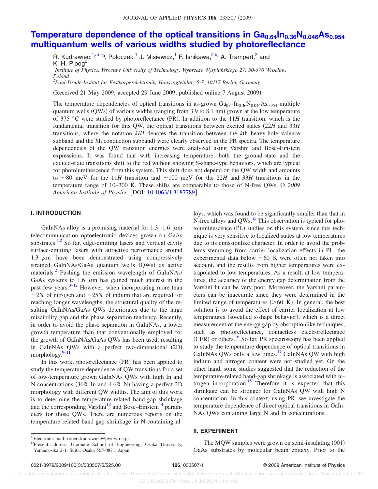# **Temperature dependence of the optical transitions in Ga<sub>0.64</sub>In<sub>0.36</sub>N<sub>0.046</sub>As<sub>0.954</sub> [multiquantum wells of various widths studied by photoreflectance](http://dx.doi.org/10.1063/1.3187789)**

R. Kudrawiec,<sup>1[,a](#page-1-0))</sup> P. Poloczek,<sup>1</sup> J. Misiewicz,<sup>1</sup> F. Ishikawa,<sup>2[,b](#page-1-1))</sup> A. Trampert,<sup>2</sup> and K. H. Ploog<sup>2</sup>

1 *Institute of Physics, Wrocław University of Technology, Wybrzeże Wyspiańskiego 27, 50-370 Wrocław, Poland*

2 *Paul-Drude-Institut für Festkörperelektronik, Hausvogteiplatz 5-7, 10117 Berlin, Germany*

Received 21 May 2009; accepted 29 June 2009; published online 7 August 2009-

The temperature dependencies of optical transitions in as-grown  $Ga_{0.64}In_{0.36}N_{0.046}As_{0.954}$  multiple quantum wells (QWs) of various widths (ranging from 3.9 to 8.1 nm) grown at the low temperature of 375 °C were studied by photoreflectance (PR). In addition to the 11H transition, which is the fundamental transition for this QW, the optical transitions between excited states 22*H* and 33*H* transitions, where the notation *klH* denotes the transition between the *k*th heavy-hole valence subband and the *l*th conduction subband) were clearly observed in the PR spectra. The temperature dependencies of the QW transition energies were analyzed using Varshni and Bose–Einstein expressions. It was found that with increasing temperature, both the ground-state and the excited-state transitions shift to the red without showing S-shape-type behaviors, which are typical for photoluminescence from this system. This shift does not depend on the QW width and amounts to  $\sim$ 80 meV for the 11*H* transition and  $\sim$ 100 meV for the 22*H* and 33*H* transitions in the temperature range of 10–300 K. These shifts are comparable to those of N-free QWs. © *2009 American Institute of Physics*. DOI: [10.1063/1.3187789](http://dx.doi.org/10.1063/1.3187789)

## **I. INTRODUCTION**

GaInNAs alloy is a promising material for  $1.3-1.6$   $\mu$ m telecommunication optoelectronic devices grown on GaAs substrates.<sup>1[,2](#page-5-1)</sup> So far, edge-emitting lasers and vertical cavity surface-emitting lasers with attractive performance around 1.3  $\mu$ m have been demonstrated using compressively strained GaInNAs/GaAs quantum wells (QWs) as active materials.<sup>2</sup> Pushing the emission wavelength of GaInNAs/ GaAs systems to 1.6  $\mu$ m has gained much interest in the past few years. $3-12$  However, when incorporating more than  $\sim$ 2% of nitrogen and  $\sim$ 25% of indium that are required for reaching longer wavelengths, the structural quality of the resulting GaInNAs/GaAs QWs deteriorates due to the large miscibility gap and the phase separation tendency. Recently, in order to avoid the phase separation in GaInNAs, a lower growth temperature than that conventionally employed for the growth of GaInNAs/GaAs QWs has been used, resulting in GaInNAs QWs with a perfect two-dimensional (2D) morphology. $9-11$  $9-11$ 

In this work, photoreflectance (PR) has been applied to study the temperature dependence of QW transitions for a set of low-temperature grown GaInNAs QWs with high In and N concentrations (36% In and 4.6% N) having a perfect 2D morphology with different QW widths. The aim of this work is to determine the temperature-related band-gap shrinkage and the corresponding Varshni<sup>13</sup> and Bose–Einstein<sup>14</sup> parameters for those QWs. There are numerous reports on the temperature-related band-gap shrinkage in N-containing alloys, which was found to be significantly smaller than that in N-free alloys and QWs.<sup>15</sup> This observation is typical for photoluminescence (PL) studies on this system, since this technique is very sensitive to localized states at low temperatures due to its emissionlike character. In order to avoid the problems stemming from carrier localization effects in PL, the experimental data below  $\sim 60$  K were often not taken into account, and the results from higher temperatures were extrapolated to low temperatures. As a result, at low temperatures, the accuracy of the energy gap determination from the Varshni fit can be very poor. Moreover, the Varshni parameters can be inaccurate since they were determined in the limited range of temperatures  $(>60 K)$ . In general, the best solution is to avoid the effect of carrier localization at low temperatures (so-called s-shape behavior), which is a direct measurement of the energy gap by absorptionlike techniques, such as photoreflectance, contactless electroreflectance (CER) or others.<sup>16</sup> So far, PR spectroscopy has been applied to study the temperature dependence of optical transitions in GaInNAs QWs only a few times.<sup>17</sup> GaInNAs QW with high indium and nitrogen content were not studied yet. On the other hand, some studies suggested that the reduction of the temperature-related band-gap shrinkage is associated with nitrogen incorporation.<sup>15</sup> Therefore it is expected that this shrinkage can be stronger for GaInNAs QW with high N concentration. In this context, using PR, we investigate the temperature dependence of direct optical transitions in GaIn-NAs QWs containing large N and In concentrations.

# **II. EXPERIMENT**

The MQW samples were grown on semi-insulating (001) GaAs substrates by molecular beam epitaxy. Prior to the

<span id="page-1-0"></span>a)Electronic mail: robert.kudrawiec@pwr.wroc.pl.

<span id="page-1-1"></span>b)Present address: Graduate School of Engineering, Osaka University, Yamada-oka 2-1, Suita, Osaka 565-0871, Japan.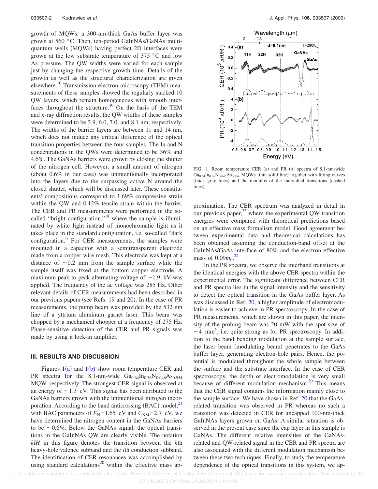growth of MQWs, a 300-nm-thick GaAs buffer layer was grown at 560 °C. Then, ten-period GaInNAs/GaNAs multiquantum wells (MQWs) having perfect 2D interfaces were grown at the low substrate temperature of 375 °C and low As pressure. The QW widths were varied for each sample just by changing the respective growth time. Details of the growth as well as the structural characterization are given elsewhere.<sup>10</sup> Transmission electron microscopy (TEM) measurements of these samples showed the regularly stacked 10 QW layers, which remain homogeneous with smooth interfaces throughout the structure.<sup>10</sup> On the basis of the TEM and x-ray diffraction results, the QW widths of these samples were determined to be 3.9, 6.0, 7.0, and 8.1 nm, respectively. The widths of the barrier layers are between 11 and 14 nm, which does not induce any critical difference of the optical transition properties between the four samples. The In and N concentrations in the QWs were determined to be 36% and 4.6%. The GaNAs barriers were grown by closing the shutter of the nitrogen cell. However, a small amount of nitrogen (about 0.6% in our case) was unintentionally incorporated into the layers due to the surpassing active N around the closed shutter, which will be discussed later. These constituents' compositions correspond to 1.69% compressive strain within the QW and 0.12% tensile strain within the barrier. The CER and PR measurements were performed in the socalled "bright configuration,"<sup>18</sup> where the sample is illuminated by white light instead of monochromatic light as it takes place in the standard configuration, i.e. so-called "dark configuration." For CER measurements, the samples were mounted in a capacitor with a semitransparent electrode made from a copper wire mesh. This electrode was kept at a distance of  $\sim 0.2$  mm from the sample surface while the sample itself was fixed at the bottom copper electrode. A maximum peak-to-peak alternating voltage of  $\sim$  1.9 kV was applied. The frequency of the ac voltage was 285 Hz. Other relevant details of CER measurements had been described in our previous papers (see Refs. [19](#page-5-13) and [20](#page-5-14)). In the case of PR measurements, the pump beam was provided by the 532 nm line of a yttrium aluminum garnet laser. This beam was chopped by a mechanical chopper at a frequency of 275 Hz. Phase-sensitive detection of the CER and PR signals was made by using a lock-in amplifier.

## **III. RESULTS AND DISCUSSION**

Figures  $1(a)$  $1(a)$  and  $1(b)$  show room temperature CER and PR spectra for the 8.1-nm-wide  $Ga_{0.64}In_{0.36}N_{0.046}As_{0.954}$ MQW, respectively. The strongest CER signal is observed at an energy of  $\sim$ 1.3 eV. This signal has been attributed to the GaNAs barriers grown with the unintentional nitrogen incorporation. According to the band anticrossing  $(BAC)$  model, $^{21}$ with BAC parameters of  $E_N = 1.65$  eV and  $C_{NM} = 2.7$  eV, we have determined the nitrogen content in the GaNAs barriers to be  $\sim 0.6\%$ . Below the GaNAs signal, the optical transitions in the GaInNAs QW are clearly visible. The notation *klH* in this figure denotes the transition between the *k*th heavy-hole valence subband and the *l*th conduction subband. The identification of CER resonances was accomplished by using standard calculations<sup>20</sup> within the effective mass ap-

<span id="page-2-0"></span>

FIG. 1. Room temperature CER (a) and PR (b) spectra of 8.1-nm-wide  $Ga_{0.64}In_{0.36}N_{0.046}As_{0.954}$  MQWs (thin solid line) together with fitting curves (thick gray lines) and the modulus of the individual transitions (dashed lines).

proximation. The CER spectrum was analyzed in detail in our previous paper, $^{22}$  where the experimental QW transition energies were compared with theoretical predictions based on an effective mass formalism model. Good agreement between experimental data and theoretical calculations has been obtained assuming the conduction-band offset at the GaInNAs/GaAs interface of 80% and the electron effective mass of  $0.09m_0$ .<sup>[22](#page-5-16)</sup>

In the PR spectra, we observe the interband transitions at the identical energies with the above CER spectra within the experimental error. The significant difference between CER and PR spectra lies in the signal intensity and the sensitivity to detect the optical transition in the GaAs buffer layer. As was discussed in Ref. [20,](#page-5-14) a higher amplitude of electromodulation is easier to achieve in PR spectroscopy. In the case of PR measurements, which are shown in this paper, the intensity of the probing beam was 20 mW with the spot size of  $\sim$  4 mm<sup>2</sup>, i.e. quite strong as for PR spectroscopy. In addition to the band bending modulation at the sample surface, the laser beam (modulating beam) penetrates to the GaAs buffer layer, generating electron-hole pairs. Hence, the potential is modulated throughout the whole sample between the surface and the substrate interface. In the case of CER spectroscopy, the depth of electromodulation is very small because of different modulation mechanism. $^{20}$  This means that the CER signal contains the information mainly close to the sample surface. We have shown in Ref. [20](#page-5-14) that the GaAsrelated transition was observed in PR whereas no such a transition was detected in CER for uncapped 100-nm-thick GaInNAs layers grown on GaAs. A similar situation is observed in the present case since the cap layer in this sample is GaNAs. The different relative intensities of the GaNAsrelated and QW-related signal in the CER and PR spectra are also associated with the different modulation mechanism between these two techniques. Finally, to study the temperature dependence of the optical transitions in this system, we ap-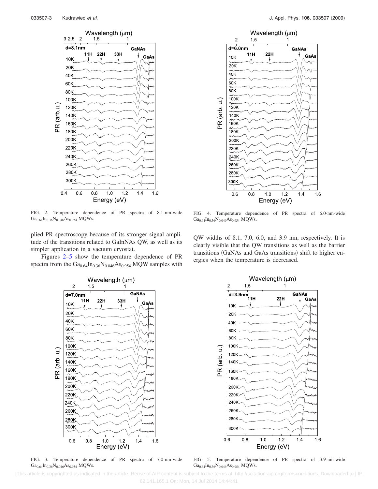<span id="page-3-0"></span>

FIG. 2. Temperature dependence of PR spectra of 8.1-nm-wide  $Ga_{0.64}In_{0.36}N_{0.046}As_{0.954}$  MQWs.

plied PR spectroscopy because of its stronger signal amplitude of the transitions related to GaInNAs QW, as well as its simpler application in a vacuum cryostat.

Figures [2–](#page-3-0)[5](#page-3-1) show the temperature dependence of PR spectra from the  $Ga_{0.64}In_{0.36}N_{0.046}As_{0.954}$  MQW samples with



FIG. 4. Temperature dependence of PR spectra of 6.0-nm-wide  $Ga_{0.64}In_{0.36}N_{0.046}As_{0.954}$  MQWs.

QW widths of 8.1, 7.0, 6.0, and 3.9 nm, respectively. It is clearly visible that the QW transitions as well as the barrier transitions (GaNAs and GaAs transitions) shift to higher energies when the temperature is decreased.



FIG. 3. Temperature dependence of PR spectra of 7.0-nm-wide  $Ga_{0.64}In_{0.36}N_{0.046}As_{0.954}$  MQWs.

<span id="page-3-1"></span>

FIG. 5. Temperature dependence of PR spectra of 3.9-nm-wide  $Ga_{0.64}In_{0.36}N_{0.046}As_{0.954}$  MQWs.

 [This article is copyrighted as indicated in the article. Reuse of AIP content is subject to the terms at: http://scitation.aip.org/termsconditions. Downloaded to ] IP: 62.141.165.1 On: Mon, 14 Jul 2014 14:44:41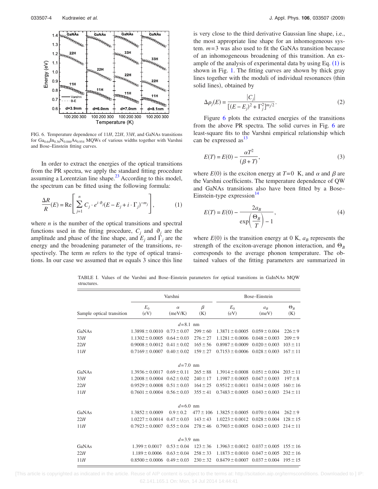<span id="page-4-1"></span>

FIG. 6. Temperature dependence of 11*H*, 22*H*, 33*H*, and GaNAs transitions for  $\rm Ga_{0.64}In_{0.36}N_{0.046}As_{0.954}$  MQWs of various widths together with Varshni and Bose–Einstein fitting curves.

In order to extract the energies of the optical transitions from the PR spectra, we apply the standard fitting procedure assuming a Lorentzian line shape. $^{23}$  According to this model, the spectrum can be fitted using the following formula:

<span id="page-4-0"></span>
$$
\frac{\Delta R}{R}(E) = \text{Re}\left[\sum_{j=1}^{n} C_j \cdot e^{i \cdot \vartheta_j} (E - E_j + i \cdot \Gamma_j)^{-m_j}\right],\tag{1}
$$

where  $n$  is the number of the optical transitions and spectral functions used in the fitting procedure,  $C_i$  and  $\vartheta_i$  are the amplitude and phase of the line shape, and  $E_i$  and  $\Gamma_i$  are the energy and the broadening parameter of the transitions, respectively. The term *m* refers to the type of optical transitions. In our case we assumed that *m* equals 3 since this line is very close to the third derivative Gaussian line shape, i.e., the most appropriate line shape for an inhomogeneous system. *m*=3 was also used to fit the GaNAs transition because of an inhomogeneous broadening of this transition. An example of the analysis of experimental data by using Eq.  $(1)$  $(1)$  $(1)$  is shown in Fig. [1.](#page-2-0) The fitting curves are shown by thick gray lines together with the moduli of individual resonances (thin solid lines), obtained by

$$
\Delta \rho_j(E) = \frac{|C_j|}{[(E - E_j)^2 + \Gamma_j^2]^{m_j/2}}.
$$
\n(2)

Figure [6](#page-4-1) plots the extracted energies of the transitions from the above PR spectra. The solid curves in Fig. [6](#page-4-1) are least-square fits to the Varshni empirical relationship which can be expressed as  $13$ 

$$
E(T) = E(0) - \frac{\alpha T^2}{(\beta + T)},
$$
\n(3)

where  $E(0)$  is the exciton energy at  $T=0$  K, and  $\alpha$  and  $\beta$  are the Varshni coefficients. The temperature dependence of QW and GaNAs transitions also have been fitted by a Bose– Einstein-type expression $14$ 

$$
E(T) = E(0) - \frac{2a_B}{\exp\left(\frac{\Theta_B}{T}\right) - 1},
$$
\n(4)

where  $E(0)$  is the transition energy at 0 K,  $a_B$  represents the strength of the exciton-average phonon interaction, and  $\Theta_B$ corresponds to the average phonon temperature. The obtained values of the fitting parameters are summarized in

<span id="page-4-2"></span>TABLE I. Values of the Varshni and Bose–Einstein parameters for optical transitions in GaInNAs MQW structures.

|                           | Varshni                             |                     |                | Bose-Einstein                         |                   |                   |
|---------------------------|-------------------------------------|---------------------|----------------|---------------------------------------|-------------------|-------------------|
| Sample optical transition | $E_0$<br>(eV)                       | $\alpha$<br>(meV/K) | $\beta$<br>(K) | $E_0$<br>(eV)                         | $a_R$<br>(meV)    | $\Theta_R$<br>(K) |
|                           |                                     | $d = 8.1$ nm        |                |                                       |                   |                   |
| GaNAs                     | $1.3898 \pm 0.0010$                 | $0.73 \pm 0.07$     | $299 \pm 60$   | $1.3871 \pm 0.0005$                   | $0.059 \pm 0.004$ | $226 \pm 9$       |
| 33H                       | $1.1302 \pm 0.0005$                 | $0.64 \pm 0.03$     | $276 \pm 27$   | $1.1281 \pm 0.0006$                   | $0.048 \pm 0.003$ | $209 \pm 9$       |
| 22H                       | $0.9008 \pm 0.0012$ $0.41 \pm 0.02$ |                     | $165 \pm 56$   | $0.8987 \pm 0.0009$                   | $0.020 \pm 0.003$ | $103 \pm 11$      |
| 11H                       | $0.7169 \pm 0.0007$ $0.40 \pm 0.02$ |                     | $159 \pm 27$   | $0.7153 \pm 0.0006$ $0.028 \pm 0.003$ |                   | $167 \pm 11$      |
| $d = 7.0$ nm              |                                     |                     |                |                                       |                   |                   |
| GaNAs                     | $1.3936 \pm 0.0017$                 | $0.69 \pm 0.11$     | $265 \pm 88$   | $1.3914 \pm 0.0008$ $0.051 \pm 0.004$ |                   | $203 \pm 11$      |
| 33H                       | $1.2008 \pm 0.0004$                 | $0.62 \pm 0.02$     | $240 \pm 17$   | $1.1987 \pm 0.0005$                   | $0.047 \pm 0.003$ | $197 \pm 8$       |
| 22H                       | $0.9529 \pm 0.0008$                 | $0.51 \pm 0.03$     | $164 \pm 25$   | $0.9512 \pm 0.0011$                   | $0.034 \pm 0.005$ | $160 \pm 16$      |
| 11H                       | $0.7601 \pm 0.0004$ $0.56 \pm 0.03$ |                     | $355 \pm 41$   | $0.7483 \pm 0.0005$                   | $0.043 \pm 0.003$ | $234 \pm 11$      |
| $d = 6.0$ nm              |                                     |                     |                |                                       |                   |                   |
| GaNAs                     | $1.3852 \pm 0.0009$                 | $0.9 \pm 0.2$       | $477 \pm 106$  | $1.3825 \pm 0.0005$ $0.070 \pm 0.004$ |                   | $262 \pm 9$       |
| 22H                       | $1.0227 \pm 0.0014$                 | $0.47 \pm 0.03$     | $143 \pm 43$   | $1.0223 \pm 0.0012$                   | $0.028 \pm 0.004$ | $128 \pm 15$      |
| 11H                       | $0.7923 \pm 0.0007$                 | $0.55 \pm 0.04$     | $278 \pm 46$   | $0.7903 \pm 0.0005$ $0.043 \pm 0.003$ |                   | $214 \pm 11$      |
|                           |                                     | $d = 3.9$ nm        |                |                                       |                   |                   |
| GaNAs                     | $1.399 \pm 0.0017$                  | $0.53 \pm 0.04$     | $123 \pm 36$   | $1.3963 \pm 0.0012$ $0.037 \pm 0.005$ |                   | $155 \pm 16$      |
| 22H                       | $1.189 \pm 0.0006$                  | $0.63 \pm 0.04$     | $258 \pm 33$   | $1.1873 \pm 0.0010$                   | $0.047 \pm 0.005$ | $202 \pm 16$      |
| 11H                       | $0.8500 \pm 0.0006$                 | $0.49 \pm 0.03$     | $230 \pm 32$   | $0.8479 \pm 0.0007$                   | $0.037 \pm 0.004$ | $195 \pm 15$      |

 [This article is copyrighted as indicated in the article. Reuse of AIP content is subject to the terms at: http://scitation.aip.org/termsconditions. Downloaded to ] IP: 62.141.165.1 On: Mon, 14 Jul 2014 14:44:41